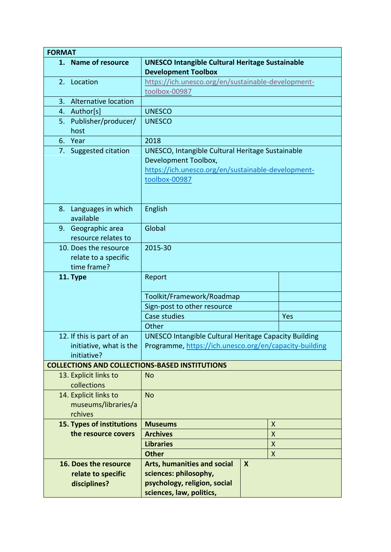| <b>FORMAT</b>                                                       |                                                                                                                                                 |  |  |
|---------------------------------------------------------------------|-------------------------------------------------------------------------------------------------------------------------------------------------|--|--|
| 1. Name of resource                                                 | <b>UNESCO Intangible Cultural Heritage Sustainable</b><br><b>Development Toolbox</b>                                                            |  |  |
| 2. Location                                                         | https://ich.unesco.org/en/sustainable-development-<br>toolbox-00987                                                                             |  |  |
| Alternative location<br>3.                                          |                                                                                                                                                 |  |  |
| Author[s]<br>4.                                                     | <b>UNESCO</b>                                                                                                                                   |  |  |
| Publisher/producer/<br>5.<br>host                                   | <b>UNESCO</b>                                                                                                                                   |  |  |
| Year<br>6.                                                          | 2018                                                                                                                                            |  |  |
| 7. Suggested citation                                               | UNESCO, Intangible Cultural Heritage Sustainable<br>Development Toolbox,<br>https://ich.unesco.org/en/sustainable-development-<br>toolbox-00987 |  |  |
| Languages in which<br>8.<br>available                               | English                                                                                                                                         |  |  |
| 9. Geographic area<br>resource relates to                           | Global                                                                                                                                          |  |  |
| 10. Does the resource<br>relate to a specific<br>time frame?        | 2015-30                                                                                                                                         |  |  |
| 11. Type                                                            | Report                                                                                                                                          |  |  |
|                                                                     | Toolkit/Framework/Roadmap                                                                                                                       |  |  |
|                                                                     | Sign-post to other resource                                                                                                                     |  |  |
|                                                                     | Case studies<br>Yes                                                                                                                             |  |  |
|                                                                     | Other                                                                                                                                           |  |  |
| 12. If this is part of an<br>initiative, what is the<br>initiative? | <b>UNESCO Intangible Cultural Heritage Capacity Building</b><br>Programme, https://ich.unesco.org/en/capacity-building                          |  |  |
| <b>COLLECTIONS AND COLLECTIONS-BASED INSTITUTIONS</b>               |                                                                                                                                                 |  |  |
| 13. Explicit links to<br>collections                                | <b>No</b>                                                                                                                                       |  |  |
| 14. Explicit links to<br>museums/libraries/a<br>rchives             | <b>No</b>                                                                                                                                       |  |  |
| <b>15. Types of institutions</b>                                    | $\boldsymbol{X}$<br><b>Museums</b>                                                                                                              |  |  |
| the resource covers                                                 | <b>Archives</b><br>$\mathsf{X}$                                                                                                                 |  |  |
|                                                                     | <b>Libraries</b><br>$\mathsf{X}$                                                                                                                |  |  |
|                                                                     | $\boldsymbol{X}$<br><b>Other</b>                                                                                                                |  |  |
| 16. Does the resource<br>relate to specific<br>disciplines?         | <b>Arts, humanities and social</b><br>$\boldsymbol{X}$<br>sciences: philosophy,<br>psychology, religion, social<br>sciences, law, politics,     |  |  |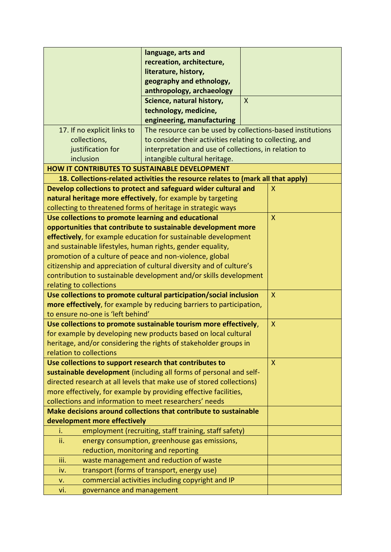|                                                            | language, arts and                                                               |              |              |
|------------------------------------------------------------|----------------------------------------------------------------------------------|--------------|--------------|
|                                                            | recreation, architecture,                                                        |              |              |
|                                                            | literature, history,                                                             |              |              |
|                                                            | geography and ethnology,                                                         |              |              |
|                                                            | anthropology, archaeology                                                        |              |              |
|                                                            | Science, natural history,                                                        | $\mathsf{X}$ |              |
|                                                            | technology, medicine,                                                            |              |              |
|                                                            | engineering, manufacturing                                                       |              |              |
| 17. If no explicit links to                                | The resource can be used by collections-based institutions                       |              |              |
| collections,                                               | to consider their activities relating to collecting, and                         |              |              |
| justification for                                          | interpretation and use of collections, in relation to                            |              |              |
| inclusion                                                  | intangible cultural heritage.                                                    |              |              |
| <b>HOW IT CONTRIBUTES TO SUSTAINABLE DEVELOPMENT</b>       |                                                                                  |              |              |
|                                                            | 18. Collections-related activities the resource relates to (mark all that apply) |              |              |
|                                                            | Develop collections to protect and safeguard wider cultural and                  |              | X            |
|                                                            | natural heritage more effectively, for example by targeting                      |              |              |
|                                                            | collecting to threatened forms of heritage in strategic ways                     |              |              |
| Use collections to promote learning and educational        |                                                                                  |              | X            |
|                                                            | opportunities that contribute to sustainable development more                    |              |              |
|                                                            | effectively, for example education for sustainable development                   |              |              |
| and sustainable lifestyles, human rights, gender equality, |                                                                                  |              |              |
| promotion of a culture of peace and non-violence, global   |                                                                                  |              |              |
|                                                            | citizenship and appreciation of cultural diversity and of culture's              |              |              |
|                                                            | contribution to sustainable development and/or skills development                |              |              |
| relating to collections                                    |                                                                                  |              |              |
|                                                            | Use collections to promote cultural participation/social inclusion               |              | $\mathsf{X}$ |
|                                                            | more effectively, for example by reducing barriers to participation,             |              |              |
| to ensure no-one is 'left behind'                          |                                                                                  |              |              |
|                                                            | Use collections to promote sustainable tourism more effectively,                 |              | X            |
|                                                            | for example by developing new products based on local cultural                   |              |              |
|                                                            | heritage, and/or considering the rights of stakeholder groups in                 |              |              |
| relation to collections                                    |                                                                                  |              |              |
| Use collections to support research that contributes to    |                                                                                  |              | X            |
|                                                            | sustainable development (including all forms of personal and self-               |              |              |
|                                                            | directed research at all levels that make use of stored collections)             |              |              |
|                                                            | more effectively, for example by providing effective facilities,                 |              |              |
| collections and information to meet researchers' needs     |                                                                                  |              |              |
|                                                            | Make decisions around collections that contribute to sustainable                 |              |              |
| development more effectively                               |                                                                                  |              |              |
| i.                                                         | employment (recruiting, staff training, staff safety)                            |              |              |
| ii.                                                        | energy consumption, greenhouse gas emissions,                                    |              |              |
| reduction, monitoring and reporting                        |                                                                                  |              |              |
| iii.                                                       | waste management and reduction of waste                                          |              |              |
| iv.                                                        | transport (forms of transport, energy use)                                       |              |              |
| v.                                                         | commercial activities including copyright and IP                                 |              |              |
| governance and management<br>vi.                           |                                                                                  |              |              |
|                                                            |                                                                                  |              |              |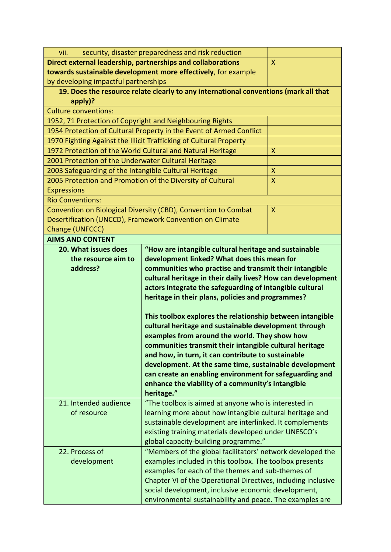|                                                                       | security, disaster preparedness and risk reduction<br>vii.                                                                                                                                                                                                                                                                                                                                                                                                                                                                                                                                                                                                                                                                                                                                                                     |                  |  |  |
|-----------------------------------------------------------------------|--------------------------------------------------------------------------------------------------------------------------------------------------------------------------------------------------------------------------------------------------------------------------------------------------------------------------------------------------------------------------------------------------------------------------------------------------------------------------------------------------------------------------------------------------------------------------------------------------------------------------------------------------------------------------------------------------------------------------------------------------------------------------------------------------------------------------------|------------------|--|--|
|                                                                       | Direct external leadership, partnerships and collaborations                                                                                                                                                                                                                                                                                                                                                                                                                                                                                                                                                                                                                                                                                                                                                                    | X                |  |  |
|                                                                       | towards sustainable development more effectively, for example                                                                                                                                                                                                                                                                                                                                                                                                                                                                                                                                                                                                                                                                                                                                                                  |                  |  |  |
| by developing impactful partnerships                                  |                                                                                                                                                                                                                                                                                                                                                                                                                                                                                                                                                                                                                                                                                                                                                                                                                                |                  |  |  |
|                                                                       | 19. Does the resource relate clearly to any international conventions (mark all that                                                                                                                                                                                                                                                                                                                                                                                                                                                                                                                                                                                                                                                                                                                                           |                  |  |  |
| $apply$ ?                                                             |                                                                                                                                                                                                                                                                                                                                                                                                                                                                                                                                                                                                                                                                                                                                                                                                                                |                  |  |  |
| <b>Culture conventions:</b>                                           |                                                                                                                                                                                                                                                                                                                                                                                                                                                                                                                                                                                                                                                                                                                                                                                                                                |                  |  |  |
| 1952, 71 Protection of Copyright and Neighbouring Rights              |                                                                                                                                                                                                                                                                                                                                                                                                                                                                                                                                                                                                                                                                                                                                                                                                                                |                  |  |  |
|                                                                       | 1954 Protection of Cultural Property in the Event of Armed Conflict                                                                                                                                                                                                                                                                                                                                                                                                                                                                                                                                                                                                                                                                                                                                                            |                  |  |  |
|                                                                       | 1970 Fighting Against the Illicit Trafficking of Cultural Property                                                                                                                                                                                                                                                                                                                                                                                                                                                                                                                                                                                                                                                                                                                                                             |                  |  |  |
|                                                                       | 1972 Protection of the World Cultural and Natural Heritage                                                                                                                                                                                                                                                                                                                                                                                                                                                                                                                                                                                                                                                                                                                                                                     | $\mathsf{X}$     |  |  |
| 2001 Protection of the Underwater Cultural Heritage                   |                                                                                                                                                                                                                                                                                                                                                                                                                                                                                                                                                                                                                                                                                                                                                                                                                                |                  |  |  |
| 2003 Safeguarding of the Intangible Cultural Heritage                 |                                                                                                                                                                                                                                                                                                                                                                                                                                                                                                                                                                                                                                                                                                                                                                                                                                | $\boldsymbol{X}$ |  |  |
| 2005 Protection and Promotion of the Diversity of Cultural            |                                                                                                                                                                                                                                                                                                                                                                                                                                                                                                                                                                                                                                                                                                                                                                                                                                | X                |  |  |
| <b>Expressions</b>                                                    |                                                                                                                                                                                                                                                                                                                                                                                                                                                                                                                                                                                                                                                                                                                                                                                                                                |                  |  |  |
| <b>Rio Conventions:</b>                                               |                                                                                                                                                                                                                                                                                                                                                                                                                                                                                                                                                                                                                                                                                                                                                                                                                                |                  |  |  |
|                                                                       | Convention on Biological Diversity (CBD), Convention to Combat                                                                                                                                                                                                                                                                                                                                                                                                                                                                                                                                                                                                                                                                                                                                                                 | $\mathsf{X}$     |  |  |
|                                                                       | Desertification (UNCCD), Framework Convention on Climate                                                                                                                                                                                                                                                                                                                                                                                                                                                                                                                                                                                                                                                                                                                                                                       |                  |  |  |
| Change (UNFCCC)                                                       |                                                                                                                                                                                                                                                                                                                                                                                                                                                                                                                                                                                                                                                                                                                                                                                                                                |                  |  |  |
| <b>AIMS AND CONTENT</b>                                               |                                                                                                                                                                                                                                                                                                                                                                                                                                                                                                                                                                                                                                                                                                                                                                                                                                |                  |  |  |
| 20. What issues does<br>the resource aim to<br>address?               | "How are intangible cultural heritage and sustainable<br>development linked? What does this mean for<br>communities who practise and transmit their intangible<br>cultural heritage in their daily lives? How can development<br>actors integrate the safeguarding of intangible cultural<br>heritage in their plans, policies and programmes?<br>This toolbox explores the relationship between intangible<br>cultural heritage and sustainable development through<br>examples from around the world. They show how<br>communities transmit their intangible cultural heritage<br>and how, in turn, it can contribute to sustainable<br>development. At the same time, sustainable development<br>can create an enabling environment for safeguarding and<br>enhance the viability of a community's intangible<br>heritage." |                  |  |  |
|                                                                       |                                                                                                                                                                                                                                                                                                                                                                                                                                                                                                                                                                                                                                                                                                                                                                                                                                |                  |  |  |
| 21. Intended audience<br>of resource<br>22. Process of<br>development | "The toolbox is aimed at anyone who is interested in<br>learning more about how intangible cultural heritage and<br>sustainable development are interlinked. It complements<br>existing training materials developed under UNESCO's<br>global capacity-building programme."<br>"Members of the global facilitators' network developed the<br>examples included in this toolbox. The toolbox presents<br>examples for each of the themes and sub-themes of<br>Chapter VI of the Operational Directives, including inclusive<br>social development, inclusive economic development,<br>environmental sustainability and peace. The examples are                                                                                                                                                                                  |                  |  |  |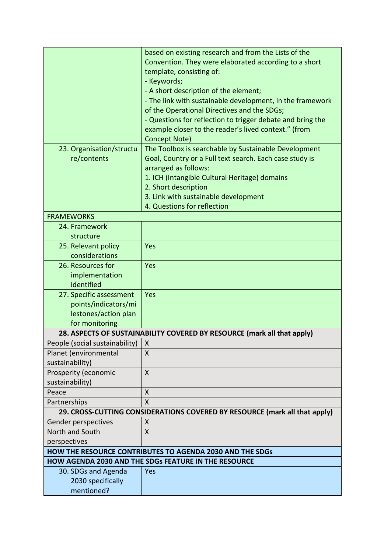|                                                                            | based on existing research and from the Lists of the       |  |  |
|----------------------------------------------------------------------------|------------------------------------------------------------|--|--|
|                                                                            | Convention. They were elaborated according to a short      |  |  |
|                                                                            | template, consisting of:                                   |  |  |
|                                                                            | - Keywords;                                                |  |  |
|                                                                            | - A short description of the element;                      |  |  |
|                                                                            | - The link with sustainable development, in the framework  |  |  |
|                                                                            | of the Operational Directives and the SDGs;                |  |  |
|                                                                            | - Questions for reflection to trigger debate and bring the |  |  |
|                                                                            | example closer to the reader's lived context." (from       |  |  |
|                                                                            | Concept Note)                                              |  |  |
| 23. Organisation/structu                                                   | The Toolbox is searchable by Sustainable Development       |  |  |
| re/contents                                                                | Goal, Country or a Full text search. Each case study is    |  |  |
|                                                                            | arranged as follows:                                       |  |  |
|                                                                            | 1. ICH (Intangible Cultural Heritage) domains              |  |  |
|                                                                            | 2. Short description                                       |  |  |
|                                                                            | 3. Link with sustainable development                       |  |  |
|                                                                            | 4. Questions for reflection                                |  |  |
| <b>FRAMEWORKS</b>                                                          |                                                            |  |  |
| 24. Framework                                                              |                                                            |  |  |
| structure                                                                  |                                                            |  |  |
| 25. Relevant policy                                                        | Yes                                                        |  |  |
| considerations                                                             |                                                            |  |  |
| 26. Resources for                                                          | Yes                                                        |  |  |
| implementation                                                             |                                                            |  |  |
| identified                                                                 |                                                            |  |  |
| 27. Specific assessment                                                    | Yes                                                        |  |  |
| points/indicators/mi                                                       |                                                            |  |  |
| lestones/action plan                                                       |                                                            |  |  |
| for monitoring                                                             |                                                            |  |  |
| 28. ASPECTS OF SUSTAINABILITY COVERED BY RESOURCE (mark all that apply)    |                                                            |  |  |
| People (social sustainability)   $X$                                       |                                                            |  |  |
| Planet (environmental                                                      | X                                                          |  |  |
| sustainability)                                                            |                                                            |  |  |
| Prosperity (economic                                                       | X                                                          |  |  |
| sustainability)                                                            |                                                            |  |  |
| Peace                                                                      | X                                                          |  |  |
| Partnerships                                                               | $\mathsf{X}$                                               |  |  |
| 29. CROSS-CUTTING CONSIDERATIONS COVERED BY RESOURCE (mark all that apply) |                                                            |  |  |
| Gender perspectives                                                        | X                                                          |  |  |
| North and South                                                            | X                                                          |  |  |
| perspectives                                                               |                                                            |  |  |
| <b>HOW THE RESOURCE CONTRIBUTES TO AGENDA 2030 AND THE SDGS</b>            |                                                            |  |  |
| HOW AGENDA 2030 AND THE SDGs FEATURE IN THE RESOURCE                       |                                                            |  |  |
| 30. SDGs and Agenda                                                        | Yes                                                        |  |  |
| 2030 specifically                                                          |                                                            |  |  |
| mentioned?                                                                 |                                                            |  |  |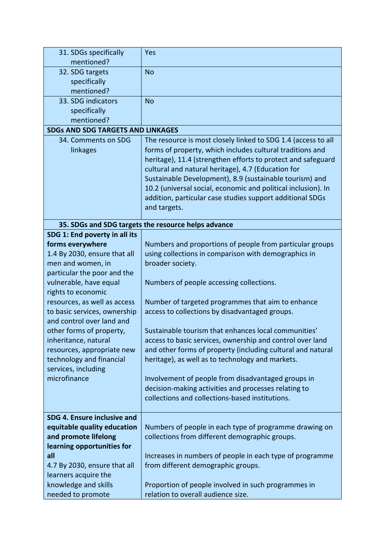| 31. SDGs specifically                    | Yes                                                                                                        |
|------------------------------------------|------------------------------------------------------------------------------------------------------------|
| mentioned?                               |                                                                                                            |
| 32. SDG targets                          | <b>No</b>                                                                                                  |
| specifically                             |                                                                                                            |
| mentioned?                               |                                                                                                            |
| 33. SDG indicators                       | <b>No</b>                                                                                                  |
| specifically                             |                                                                                                            |
| mentioned?                               |                                                                                                            |
| <b>SDGs AND SDG TARGETS AND LINKAGES</b> |                                                                                                            |
| 34. Comments on SDG                      | The resource is most closely linked to SDG 1.4 (access to all                                              |
| linkages                                 | forms of property, which includes cultural traditions and                                                  |
|                                          | heritage), 11.4 (strengthen efforts to protect and safeguard                                               |
|                                          | cultural and natural heritage), 4.7 (Education for                                                         |
|                                          | Sustainable Development), 8.9 (sustainable tourism) and                                                    |
|                                          | 10.2 (universal social, economic and political inclusion). In                                              |
|                                          | addition, particular case studies support additional SDGs                                                  |
|                                          | and targets.                                                                                               |
|                                          |                                                                                                            |
|                                          | 35. SDGs and SDG targets the resource helps advance                                                        |
| SDG 1: End poverty in all its            |                                                                                                            |
| forms everywhere                         | Numbers and proportions of people from particular groups                                                   |
| 1.4 By 2030, ensure that all             | using collections in comparison with demographics in                                                       |
| men and women, in                        | broader society.                                                                                           |
| particular the poor and the              |                                                                                                            |
| vulnerable, have equal                   | Numbers of people accessing collections.                                                                   |
| rights to economic                       |                                                                                                            |
| resources, as well as access             | Number of targeted programmes that aim to enhance                                                          |
| to basic services, ownership             | access to collections by disadvantaged groups.                                                             |
| and control over land and                |                                                                                                            |
| other forms of property,                 | Sustainable tourism that enhances local communities'                                                       |
| inheritance, natural                     | access to basic services, ownership and control over land                                                  |
| resources, appropriate new               | and other forms of property (including cultural and natural                                                |
| technology and financial                 | heritage), as well as to technology and markets.                                                           |
| services, including<br>microfinance      |                                                                                                            |
|                                          | Involvement of people from disadvantaged groups in<br>decision-making activities and processes relating to |
|                                          | collections and collections-based institutions.                                                            |
|                                          |                                                                                                            |
| SDG 4. Ensure inclusive and              |                                                                                                            |
| equitable quality education              | Numbers of people in each type of programme drawing on                                                     |
| and promote lifelong                     | collections from different demographic groups.                                                             |
| learning opportunities for               |                                                                                                            |
| all                                      | Increases in numbers of people in each type of programme                                                   |
| 4.7 By 2030, ensure that all             | from different demographic groups.                                                                         |
| learners acquire the                     |                                                                                                            |
| knowledge and skills                     | Proportion of people involved in such programmes in                                                        |
| needed to promote                        | relation to overall audience size.                                                                         |
|                                          |                                                                                                            |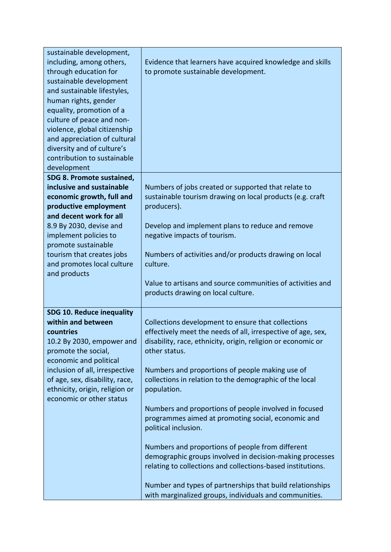| sustainable development,<br>including, among others,<br>through education for<br>sustainable development<br>and sustainable lifestyles,<br>human rights, gender<br>equality, promotion of a<br>culture of peace and non-<br>violence, global citizenship<br>and appreciation of cultural<br>diversity and of culture's<br>contribution to sustainable<br>development | Evidence that learners have acquired knowledge and skills<br>to promote sustainable development.                                                                                                                                                                                                                                                                                                                                                                                                                                                                                                                                                                                                                                                                              |
|----------------------------------------------------------------------------------------------------------------------------------------------------------------------------------------------------------------------------------------------------------------------------------------------------------------------------------------------------------------------|-------------------------------------------------------------------------------------------------------------------------------------------------------------------------------------------------------------------------------------------------------------------------------------------------------------------------------------------------------------------------------------------------------------------------------------------------------------------------------------------------------------------------------------------------------------------------------------------------------------------------------------------------------------------------------------------------------------------------------------------------------------------------------|
| SDG 8. Promote sustained,<br>inclusive and sustainable<br>economic growth, full and<br>productive employment<br>and decent work for all<br>8.9 By 2030, devise and<br>implement policies to<br>promote sustainable<br>tourism that creates jobs<br>and promotes local culture<br>and products                                                                        | Numbers of jobs created or supported that relate to<br>sustainable tourism drawing on local products (e.g. craft<br>producers).<br>Develop and implement plans to reduce and remove<br>negative impacts of tourism.<br>Numbers of activities and/or products drawing on local<br>culture.                                                                                                                                                                                                                                                                                                                                                                                                                                                                                     |
|                                                                                                                                                                                                                                                                                                                                                                      | Value to artisans and source communities of activities and<br>products drawing on local culture.                                                                                                                                                                                                                                                                                                                                                                                                                                                                                                                                                                                                                                                                              |
| <b>SDG 10. Reduce inequality</b><br>within and between<br>countries<br>10.2 By 2030, empower and<br>promote the social,<br>economic and political<br>inclusion of all, irrespective<br>of age, sex, disability, race,<br>ethnicity, origin, religion or<br>economic or other status                                                                                  | Collections development to ensure that collections<br>effectively meet the needs of all, irrespective of age, sex,<br>disability, race, ethnicity, origin, religion or economic or<br>other status.<br>Numbers and proportions of people making use of<br>collections in relation to the demographic of the local<br>population.<br>Numbers and proportions of people involved in focused<br>programmes aimed at promoting social, economic and<br>political inclusion.<br>Numbers and proportions of people from different<br>demographic groups involved in decision-making processes<br>relating to collections and collections-based institutions.<br>Number and types of partnerships that build relationships<br>with marginalized groups, individuals and communities. |